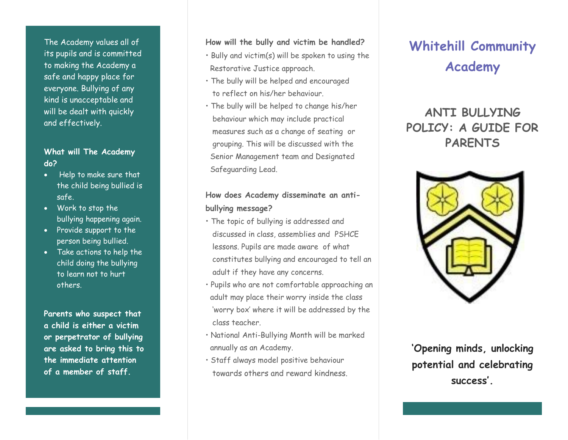The Academy values all of its pupils and is committed to making the Academy a safe and happy place for everyone. Bullying of any kind is unacceptable and will be dealt with quickly and effectively.

#### **What will The Academy do?**

- Help to make sure that the child being bullied is safe.
- Work to stop the bullying happening again.
- Provide support to the person being bullied.
- Take actions to help the child doing the bullying to learn not to hurt others.

**Parents who suspect that a child is either a victim or perpetrator of bullying are asked to bring this to the immediate attention of a member of staff.**

**How will the bully and victim be handled?**

- Bully and victim(s) will be spoken to using the Restorative Justice approach.
- The bully will be helped and encouraged to reflect on his/her behaviour.
- The bully will be helped to change his/her behaviour which may include practical measures such as a change of seating or grouping. This will be discussed with the Senior Management team and Designated Safeguarding Lead.

#### **How does Academy disseminate an antibullying message?**

- The topic of bullying is addressed and discussed in class, assemblies and PSHCE lessons. Pupils are made aware of what constitutes bullying and encouraged to tell an adult if they have any concerns.
- Pupils who are not comfortable approaching an adult may place their worry inside the class 'worry box' where it will be addressed by the class teacher.
- National Anti-Bullying Month will be marked annually as an Academy.
- Staff always model positive behaviour towards others and reward kindness.

## **Whitehill Community Academy**

### **ANTI BULLYING POLICY: A GUIDE FOR PARENTS**



**'Opening minds, unlocking potential and celebrating success'.**